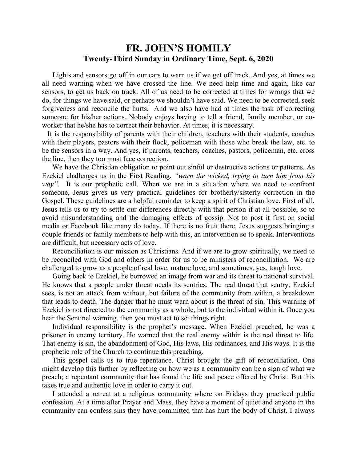## **FR. JOHN'S HOMILY Twenty-Third Sunday in Ordinary Time, Sept. 6, 2020**

 Lights and sensors go off in our cars to warn us if we get off track. And yes, at times we all need warning when we have crossed the line. We need help time and again, like car sensors, to get us back on track. All of us need to be corrected at times for wrongs that we do, for things we have said, or perhaps we shouldn't have said. We need to be corrected, seek forgiveness and reconcile the hurts. And we also have had at times the task of correcting someone for his/her actions. Nobody enjoys having to tell a friend, family member, or coworker that he/she has to correct their behavior. At times, it is necessary.

 It is the responsibility of parents with their children, teachers with their students, coaches with their players, pastors with their flock, policeman with those who break the law, etc. to be the sensors in a way. And yes, if parents, teachers, coaches, pastors, policeman, etc. cross the line, then they too must face correction.

 We have the Christian obligation to point out sinful or destructive actions or patterns. As Ezekiel challenges us in the First Reading, *"warn the wicked, trying to turn him from his way"*. It is our prophetic call. When we are in a situation where we need to confront someone, Jesus gives us very practical guidelines for brotherly/sisterly correction in the Gospel. These guidelines are a helpful reminder to keep a spirit of Christian love. First of all, Jesus tells us to try to settle our differences directly with that person if at all possible, so to avoid misunderstanding and the damaging effects of gossip. Not to post it first on social media or Facebook like many do today. If there is no fruit there, Jesus suggests bringing a couple friends or family members to help with this, an intervention so to speak. Interventions are difficult, but necessary acts of love.

 Reconciliation is our mission as Christians. And if we are to grow spiritually, we need to be reconciled with God and others in order for us to be ministers of reconciliation. We are challenged to grow as a people of real love, mature love, and sometimes, yes, tough love.

 Going back to Ezekiel, he borrowed an image from war and its threat to national survival. He knows that a people under threat needs its sentries. The real threat that sentry, Ezekiel sees, is not an attack from without, but failure of the community from within, a breakdown that leads to death. The danger that he must warn about is the threat of sin. This warning of Ezekiel is not directed to the community as a whole, but to the individual within it. Once you hear the Sentinel warning, then you must act to set things right.

 Individual responsibility is the prophet's message. When Ezekiel preached, he was a prisoner in enemy territory. He warned that the real enemy within is the real threat to life. That enemy is sin, the abandonment of God, His laws, His ordinances, and His ways. It is the prophetic role of the Church to continue this preaching.

 This gospel calls us to true repentance. Christ brought the gift of reconciliation. One might develop this further by reflecting on how we as a community can be a sign of what we preach; a repentant community that has found the life and peace offered by Christ. But this takes true and authentic love in order to carry it out.

 I attended a retreat at a religious community where on Fridays they practiced public confession. At a time after Prayer and Mass, they have a moment of quiet and anyone in the community can confess sins they have committed that has hurt the body of Christ. I always